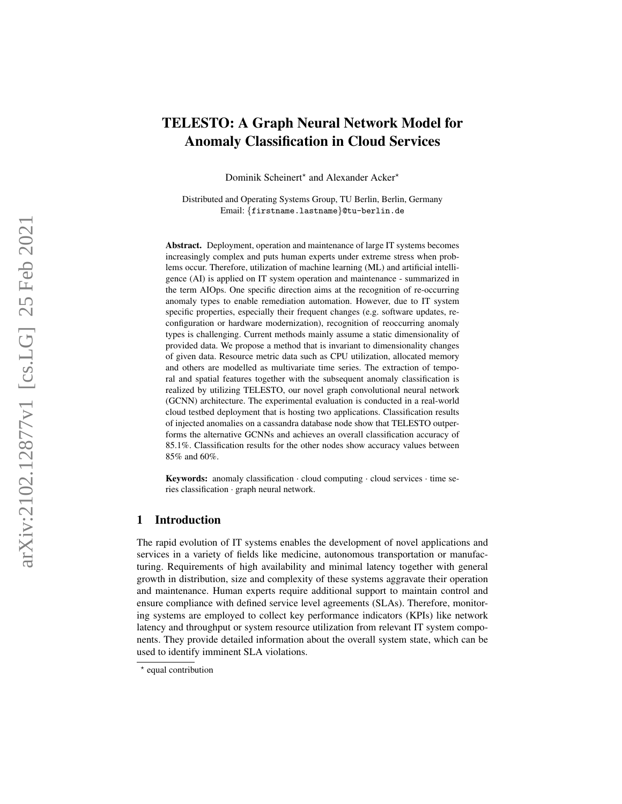# TELESTO: A Graph Neural Network Model for Anomaly Classification in Cloud Services

Dominik Scheinert<sup>\*</sup> and Alexander Acker<sup>\*</sup>

Distributed and Operating Systems Group, TU Berlin, Berlin, Germany Email: {firstname.lastname }@tu-berlin.de

Abstract. Deployment, operation and maintenance of large IT systems becomes increasingly complex and puts human experts under extreme stress when problems occur. Therefore, utilization of machine learning (ML) and artificial intelligence (AI) is applied on IT system operation and maintenance - summarized in the term AIOps. One specific direction aims at the recognition of re-occurring anomaly types to enable remediation automation. However, due to IT system specific properties, especially their frequent changes (e.g. software updates, reconfiguration or hardware modernization), recognition of reoccurring anomaly types is challenging. Current methods mainly assume a static dimensionality of provided data. We propose a method that is invariant to dimensionality changes of given data. Resource metric data such as CPU utilization, allocated memory and others are modelled as multivariate time series. The extraction of temporal and spatial features together with the subsequent anomaly classification is realized by utilizing TELESTO, our novel graph convolutional neural network (GCNN) architecture. The experimental evaluation is conducted in a real-world cloud testbed deployment that is hosting two applications. Classification results of injected anomalies on a cassandra database node show that TELESTO outperforms the alternative GCNNs and achieves an overall classification accuracy of 85.1%. Classification results for the other nodes show accuracy values between 85% and 60%.

Keywords: anomaly classification · cloud computing · cloud services · time series classification · graph neural network.

## 1 Introduction

The rapid evolution of IT systems enables the development of novel applications and services in a variety of fields like medicine, autonomous transportation or manufacturing. Requirements of high availability and minimal latency together with general growth in distribution, size and complexity of these systems aggravate their operation and maintenance. Human experts require additional support to maintain control and ensure compliance with defined service level agreements (SLAs). Therefore, monitoring systems are employed to collect key performance indicators (KPIs) like network latency and throughput or system resource utilization from relevant IT system components. They provide detailed information about the overall system state, which can be used to identify imminent SLA violations.

<sup>\*</sup> equal contribution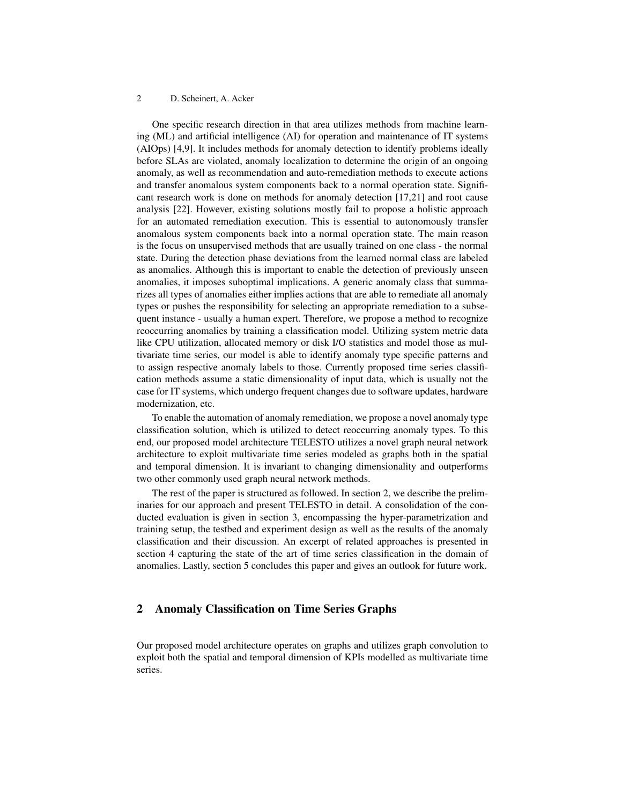#### 2 D. Scheinert, A. Acker

One specific research direction in that area utilizes methods from machine learning (ML) and artificial intelligence (AI) for operation and maintenance of IT systems (AIOps) [\[4,](#page-10-0)[9\]](#page-11-0). It includes methods for anomaly detection to identify problems ideally before SLAs are violated, anomaly localization to determine the origin of an ongoing anomaly, as well as recommendation and auto-remediation methods to execute actions and transfer anomalous system components back to a normal operation state. Significant research work is done on methods for anomaly detection [\[17,](#page-11-1)[21\]](#page-11-2) and root cause analysis [\[22\]](#page-11-3). However, existing solutions mostly fail to propose a holistic approach for an automated remediation execution. This is essential to autonomously transfer anomalous system components back into a normal operation state. The main reason is the focus on unsupervised methods that are usually trained on one class - the normal state. During the detection phase deviations from the learned normal class are labeled as anomalies. Although this is important to enable the detection of previously unseen anomalies, it imposes suboptimal implications. A generic anomaly class that summarizes all types of anomalies either implies actions that are able to remediate all anomaly types or pushes the responsibility for selecting an appropriate remediation to a subsequent instance - usually a human expert. Therefore, we propose a method to recognize reoccurring anomalies by training a classification model. Utilizing system metric data like CPU utilization, allocated memory or disk I/O statistics and model those as multivariate time series, our model is able to identify anomaly type specific patterns and to assign respective anomaly labels to those. Currently proposed time series classification methods assume a static dimensionality of input data, which is usually not the case for IT systems, which undergo frequent changes due to software updates, hardware modernization, etc.

To enable the automation of anomaly remediation, we propose a novel anomaly type classification solution, which is utilized to detect reoccurring anomaly types. To this end, our proposed model architecture TELESTO utilizes a novel graph neural network architecture to exploit multivariate time series modeled as graphs both in the spatial and temporal dimension. It is invariant to changing dimensionality and outperforms two other commonly used graph neural network methods.

The rest of the paper is structured as followed. In [section 2,](#page-1-0) we describe the preliminaries for our approach and present TELESTO in detail. A consolidation of the conducted evaluation is given in [section 3,](#page-5-0) encompassing the hyper-parametrization and training setup, the testbed and experiment design as well as the results of the anomaly classification and their discussion. An excerpt of related approaches is presented in [section 4](#page-9-0) capturing the state of the art of time series classification in the domain of anomalies. Lastly, [section 5](#page-10-1) concludes this paper and gives an outlook for future work.

# <span id="page-1-0"></span>2 Anomaly Classification on Time Series Graphs

Our proposed model architecture operates on graphs and utilizes graph convolution to exploit both the spatial and temporal dimension of KPIs modelled as multivariate time series.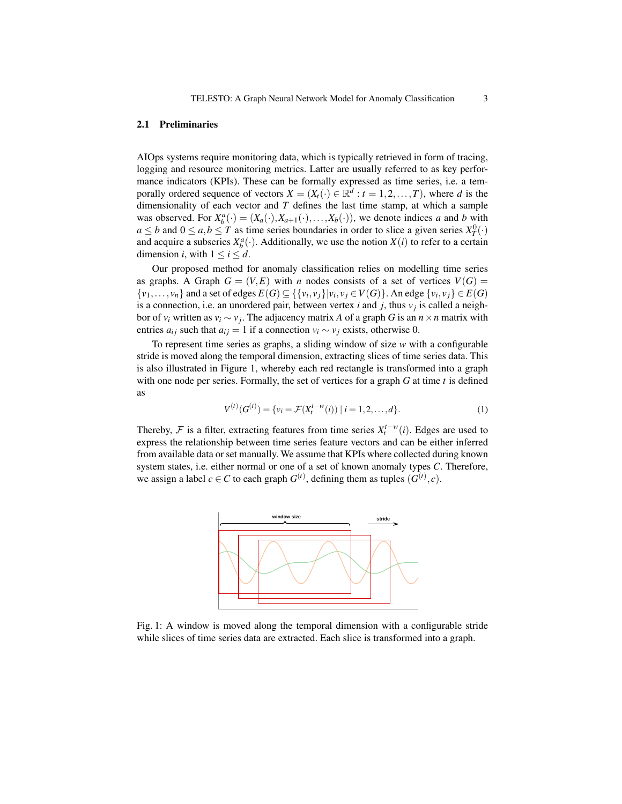#### 2.1 Preliminaries

AIOps systems require monitoring data, which is typically retrieved in form of tracing, logging and resource monitoring metrics. Latter are usually referred to as key performance indicators (KPIs). These can be formally expressed as time series, i.e. a temporally ordered sequence of vectors  $X = (X_t(\cdot) \in \mathbb{R}^d : t = 1, 2, ..., T)$ , where *d* is the dimensionality of each vector and *T* defines the last time stamp, at which a sample was observed. For  $X_b^a(\cdot) = (X_a(\cdot), X_{a+1}(\cdot), \ldots, X_b(\cdot))$ , we denote indices *a* and *b* with  $a \leq b$  and  $0 \leq a, b \leq T$  as time series boundaries in order to slice a given series  $X_T^0(\cdot)$ and acquire a subseries  $X_b^a(\cdot)$ . Additionally, we use the notion  $X(i)$  to refer to a certain dimension *i*, with  $1 \le i \le d$ .

Our proposed method for anomaly classification relies on modelling time series as graphs. A Graph  $G = (V, E)$  with *n* nodes consists of a set of vertices  $V(G)$  $\{v_1,\ldots,v_n\}$  and a set of edges  $E(G) \subseteq \{\{v_i,v_j\}|v_i,v_j\in V(G)\}\$ . An edge  $\{v_i,v_j\}\in E(G)$ is a connection, i.e. an unordered pair, between vertex  $i$  and  $j$ , thus  $v_j$  is called a neighbor of  $v_i$  written as  $v_i \sim v_j$ . The adjacency matrix *A* of a graph *G* is an  $n \times n$  matrix with entries  $a_{ij}$  such that  $a_{ij} = 1$  if a connection  $v_i \sim v_j$  exists, otherwise 0.

To represent time series as graphs, a sliding window of size *w* with a configurable stride is moved along the temporal dimension, extracting slices of time series data. This is also illustrated in [Figure 1,](#page-2-0) whereby each red rectangle is transformed into a graph with one node per series. Formally, the set of vertices for a graph *G* at time *t* is defined as

<span id="page-2-1"></span>
$$
V^{(t)}(G^{(t)}) = \{v_i = \mathcal{F}(X_t^{t-w}(i)) \mid i = 1, 2, ..., d\}.
$$
 (1)

Thereby,  $\mathcal{F}$  is a filter, extracting features from time series  $X_t^{t-w}(i)$ . Edges are used to express the relationship between time series feature vectors and can be either inferred from available data or set manually. We assume that KPIs where collected during known system states, i.e. either normal or one of a set of known anomaly types *C*. Therefore, we assign a label  $c \in C$  to each graph  $G^{(t)}$ , defining them as tuples  $(G^{(t)}, c)$ .

<span id="page-2-0"></span>

Fig. 1: A window is moved along the temporal dimension with a configurable stride while slices of time series data are extracted. Each slice is transformed into a graph.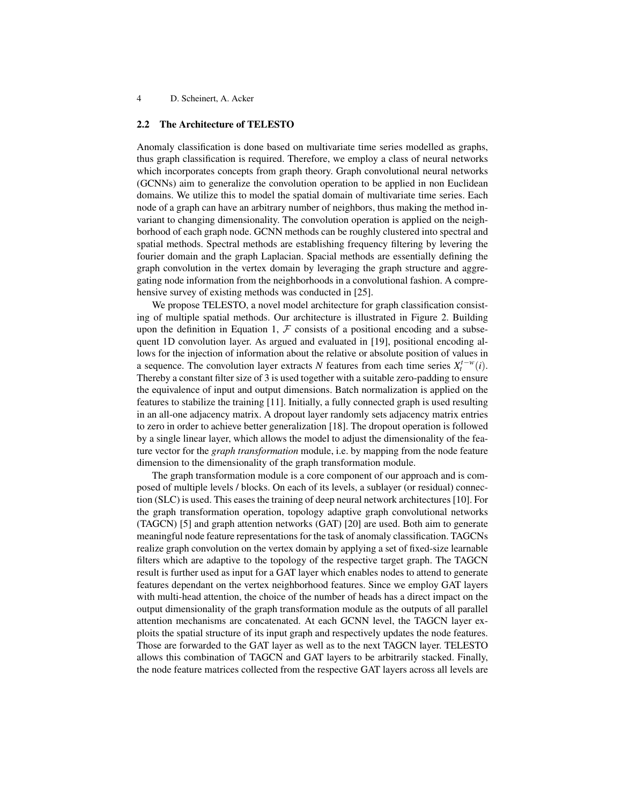#### 2.2 The Architecture of TELESTO

Anomaly classification is done based on multivariate time series modelled as graphs, thus graph classification is required. Therefore, we employ a class of neural networks which incorporates concepts from graph theory. Graph convolutional neural networks (GCNNs) aim to generalize the convolution operation to be applied in non Euclidean domains. We utilize this to model the spatial domain of multivariate time series. Each node of a graph can have an arbitrary number of neighbors, thus making the method invariant to changing dimensionality. The convolution operation is applied on the neighborhood of each graph node. GCNN methods can be roughly clustered into spectral and spatial methods. Spectral methods are establishing frequency filtering by levering the fourier domain and the graph Laplacian. Spacial methods are essentially defining the graph convolution in the vertex domain by leveraging the graph structure and aggregating node information from the neighborhoods in a convolutional fashion. A comprehensive survey of existing methods was conducted in [\[25\]](#page-11-4).

We propose TELESTO, a novel model architecture for graph classification consisting of multiple spatial methods. Our architecture is illustrated in [Figure 2.](#page-4-0) Building upon the definition in [Equation 1,](#page-2-1)  $\mathcal F$  consists of a positional encoding and a subsequent 1D convolution layer. As argued and evaluated in [\[19\]](#page-11-5), positional encoding allows for the injection of information about the relative or absolute position of values in a sequence. The convolution layer extracts *N* features from each time series  $X_t^{t-w}(i)$ . Thereby a constant filter size of 3 is used together with a suitable zero-padding to ensure the equivalence of input and output dimensions. Batch normalization is applied on the features to stabilize the training [\[11\]](#page-11-6). Initially, a fully connected graph is used resulting in an all-one adjacency matrix. A dropout layer randomly sets adjacency matrix entries to zero in order to achieve better generalization [\[18\]](#page-11-7). The dropout operation is followed by a single linear layer, which allows the model to adjust the dimensionality of the feature vector for the *graph transformation* module, i.e. by mapping from the node feature dimension to the dimensionality of the graph transformation module.

The graph transformation module is a core component of our approach and is composed of multiple levels / blocks. On each of its levels, a sublayer (or residual) connection (SLC) is used. This eases the training of deep neural network architectures [\[10\]](#page-11-8). For the graph transformation operation, topology adaptive graph convolutional networks (TAGCN) [\[5\]](#page-10-2) and graph attention networks (GAT) [\[20\]](#page-11-9) are used. Both aim to generate meaningful node feature representations for the task of anomaly classification. TAGCNs realize graph convolution on the vertex domain by applying a set of fixed-size learnable filters which are adaptive to the topology of the respective target graph. The TAGCN result is further used as input for a GAT layer which enables nodes to attend to generate features dependant on the vertex neighborhood features. Since we employ GAT layers with multi-head attention, the choice of the number of heads has a direct impact on the output dimensionality of the graph transformation module as the outputs of all parallel attention mechanisms are concatenated. At each GCNN level, the TAGCN layer exploits the spatial structure of its input graph and respectively updates the node features. Those are forwarded to the GAT layer as well as to the next TAGCN layer. TELESTO allows this combination of TAGCN and GAT layers to be arbitrarily stacked. Finally, the node feature matrices collected from the respective GAT layers across all levels are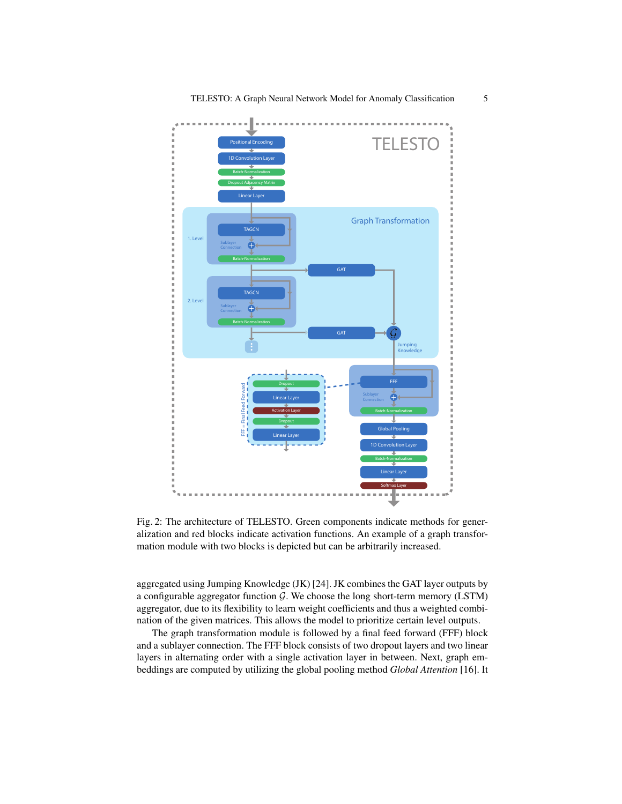<span id="page-4-0"></span>

Fig. 2: The architecture of TELESTO. Green components indicate methods for generalization and red blocks indicate activation functions. An example of a graph transformation module with two blocks is depicted but can be arbitrarily increased.

aggregated using Jumping Knowledge (JK) [\[24\]](#page-11-10). JK combines the GAT layer outputs by a configurable aggregator function  $G$ . We choose the long short-term memory (LSTM) aggregator, due to its flexibility to learn weight coefficients and thus a weighted combination of the given matrices. This allows the model to prioritize certain level outputs.

The graph transformation module is followed by a final feed forward (FFF) block and a sublayer connection. The FFF block consists of two dropout layers and two linear layers in alternating order with a single activation layer in between. Next, graph embeddings are computed by utilizing the global pooling method *Global Attention* [\[16\]](#page-11-11). It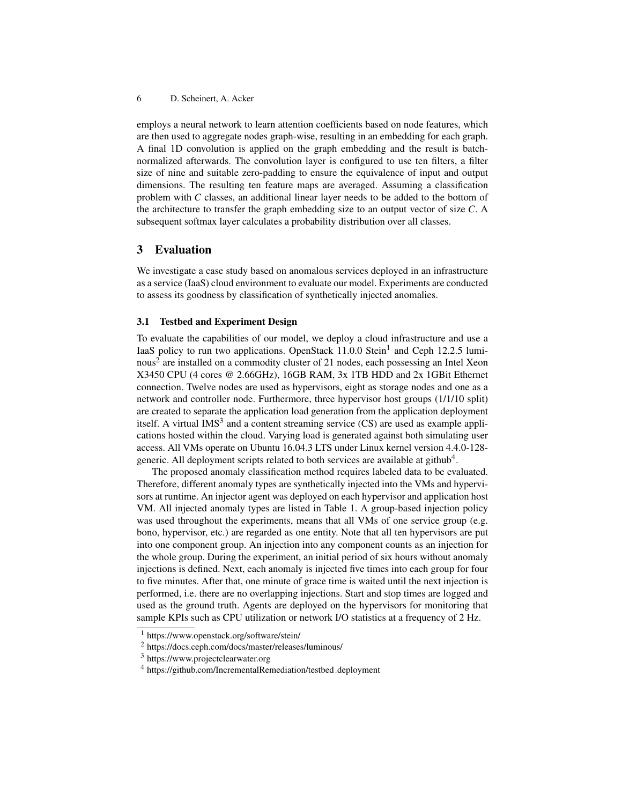employs a neural network to learn attention coefficients based on node features, which are then used to aggregate nodes graph-wise, resulting in an embedding for each graph. A final 1D convolution is applied on the graph embedding and the result is batchnormalized afterwards. The convolution layer is configured to use ten filters, a filter size of nine and suitable zero-padding to ensure the equivalence of input and output dimensions. The resulting ten feature maps are averaged. Assuming a classification problem with *C* classes, an additional linear layer needs to be added to the bottom of the architecture to transfer the graph embedding size to an output vector of size *C*. A subsequent softmax layer calculates a probability distribution over all classes.

### <span id="page-5-0"></span>3 Evaluation

We investigate a case study based on anomalous services deployed in an infrastructure as a service (IaaS) cloud environment to evaluate our model. Experiments are conducted to assess its goodness by classification of synthetically injected anomalies.

### <span id="page-5-5"></span>3.1 Testbed and Experiment Design

To evaluate the capabilities of our model, we deploy a cloud infrastructure and use a IaaS policy to run two applications. OpenStack [1](#page-5-1)1.0.0 Stein<sup>1</sup> and Ceph 12.2.5 luminous[2](#page-5-2) are installed on a commodity cluster of 21 nodes, each possessing an Intel Xeon X3450 CPU (4 cores @ 2.66GHz), 16GB RAM, 3x 1TB HDD and 2x 1GBit Ethernet connection. Twelve nodes are used as hypervisors, eight as storage nodes and one as a network and controller node. Furthermore, three hypervisor host groups (1/1/10 split) are created to separate the application load generation from the application deployment itself. A virtual IMS<sup>[3](#page-5-3)</sup> and a content streaming service  $(CS)$  are used as example applications hosted within the cloud. Varying load is generated against both simulating user access. All VMs operate on Ubuntu 16.04.3 LTS under Linux kernel version 4.4.0-128- generic. All deployment scripts related to both services are available at github<sup>[4](#page-5-4)</sup>.

The proposed anomaly classification method requires labeled data to be evaluated. Therefore, different anomaly types are synthetically injected into the VMs and hypervisors at runtime. An injector agent was deployed on each hypervisor and application host VM. All injected anomaly types are listed in [Table 1.](#page-6-0) A group-based injection policy was used throughout the experiments, means that all VMs of one service group (e.g. bono, hypervisor, etc.) are regarded as one entity. Note that all ten hypervisors are put into one component group. An injection into any component counts as an injection for the whole group. During the experiment, an initial period of six hours without anomaly injections is defined. Next, each anomaly is injected five times into each group for four to five minutes. After that, one minute of grace time is waited until the next injection is performed, i.e. there are no overlapping injections. Start and stop times are logged and used as the ground truth. Agents are deployed on the hypervisors for monitoring that sample KPIs such as CPU utilization or network I/O statistics at a frequency of 2 Hz.

<span id="page-5-1"></span><sup>1</sup> https://www.openstack.org/software/stein/

<span id="page-5-2"></span><sup>2</sup> https://docs.ceph.com/docs/master/releases/luminous/

<span id="page-5-3"></span><sup>3</sup> https://www.projectclearwater.org

<span id="page-5-4"></span><sup>&</sup>lt;sup>4</sup> https://github.com/IncrementalRemediation/testbed\_deployment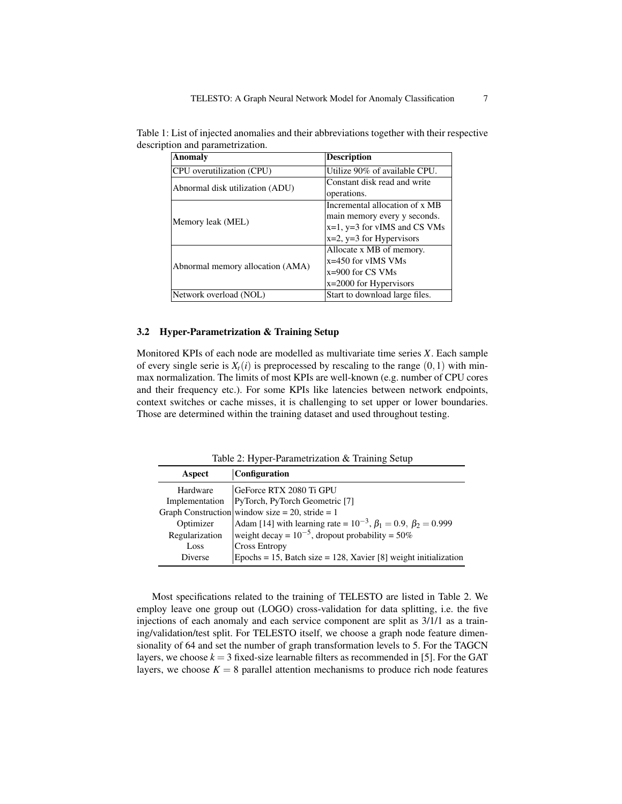| Anomaly                          | <b>Description</b>                                                                                                                                                                                                                         |  |  |  |
|----------------------------------|--------------------------------------------------------------------------------------------------------------------------------------------------------------------------------------------------------------------------------------------|--|--|--|
| CPU overutilization (CPU)        | Utilize 90% of available CPU.                                                                                                                                                                                                              |  |  |  |
| Abnormal disk utilization (ADU)  | Constant disk read and write<br>operations.                                                                                                                                                                                                |  |  |  |
| Memory leak (MEL)                | Incremental allocation of x MB<br>main memory every y seconds.<br>$x=1$ , $y=3$ for vIMS and CS VMs<br>$x=2$ , $y=3$ for Hypervisors<br>Allocate x MB of memory.<br>$x=450$ for vIMS VMs<br>$x=900$ for CS VMs<br>$x=2000$ for Hypervisors |  |  |  |
| Abnormal memory allocation (AMA) |                                                                                                                                                                                                                                            |  |  |  |
| Network overload (NOL)           | Start to download large files.                                                                                                                                                                                                             |  |  |  |

<span id="page-6-0"></span>Table 1: List of injected anomalies and their abbreviations together with their respective description and parametrization.

#### 3.2 Hyper-Parametrization & Training Setup

Monitored KPIs of each node are modelled as multivariate time series *X*. Each sample of every single serie is  $X_t(i)$  is preprocessed by rescaling to the range  $(0,1)$  with minmax normalization. The limits of most KPIs are well-known (e.g. number of CPU cores and their frequency etc.). For some KPIs like latencies between network endpoints, context switches or cache misses, it is challenging to set upper or lower boundaries. Those are determined within the training dataset and used throughout testing.

Table 2: Hyper-Parametrization & Training Setup

<span id="page-6-1"></span>

| Aspect         | <b>Configuration</b>                                                           |
|----------------|--------------------------------------------------------------------------------|
| Hardware       | GeForce RTX 2080 Ti GPU                                                        |
| Implementation | PyTorch, PyTorch Geometric [7]                                                 |
|                | Graph Construction window size = 20, stride = 1                                |
| Optimizer      | Adam [14] with learning rate = $10^{-3}$ , $\beta_1 = 0.9$ , $\beta_2 = 0.999$ |
| Regularization | weight decay = $10^{-5}$ , dropout probability = 50%                           |
| Loss           | <b>Cross Entropy</b>                                                           |
| <b>Diverse</b> | Epochs = 15, Batch size = 128, Xavier [8] weight initialization                |

Most specifications related to the training of TELESTO are listed in [Table 2.](#page-6-1) We employ leave one group out (LOGO) cross-validation for data splitting, i.e. the five injections of each anomaly and each service component are split as 3/1/1 as a training/validation/test split. For TELESTO itself, we choose a graph node feature dimensionality of 64 and set the number of graph transformation levels to 5. For the TAGCN layers, we choose  $k = 3$  fixed-size learnable filters as recommended in [\[5\]](#page-10-2). For the GAT layers, we choose  $K = 8$  parallel attention mechanisms to produce rich node features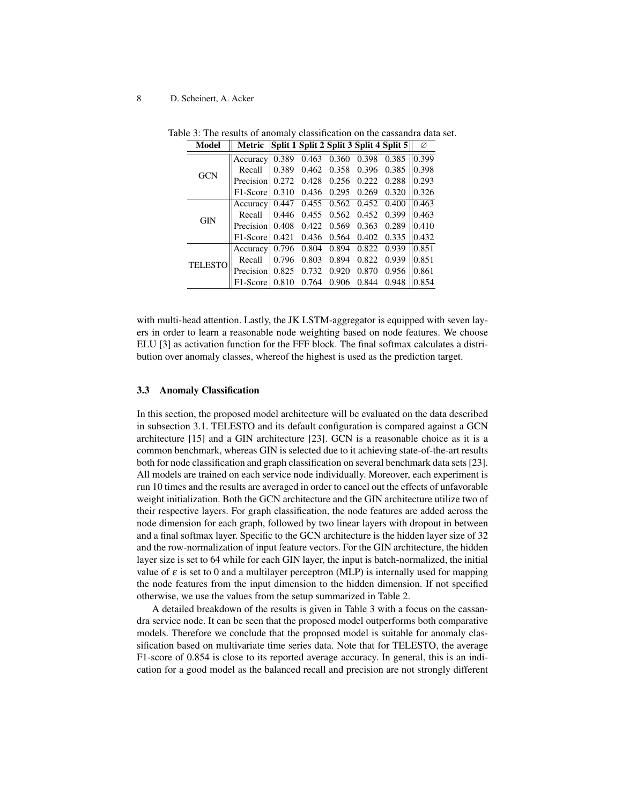#### <span id="page-7-0"></span>8 D. Scheinert, A. Acker

| <b>Model</b>   | Metric         |       |       |                 |       | Split 1 Split 2 Split 3 Split 4 Split 5 | Ø               |
|----------------|----------------|-------|-------|-----------------|-------|-----------------------------------------|-----------------|
| <b>GCN</b>     | Accuracy 0.389 |       |       | $0.463$ $0.360$ | 0.398 | 0.385   0.399                           |                 |
|                | Recall         | 0.389 | 0.462 | 0.358           | 0.396 | 0.385                                   | 0.398           |
|                | Precision      | 0.272 | 0.428 | 0.256           | 0.222 | 0.288                                   | 0.293           |
|                | F1-Score       | 0.310 | 0.436 | 0.295           | 0.269 | 0.320                                   | 0.326           |
| <b>GIN</b>     | Accuracy       | 0.447 | 0.455 | 0.562           | 0.452 | 0.400                                   | $ 0.463\rangle$ |
|                | Recall         | 0.446 | 0.455 | 0.562           | 0.452 | 0.399                                   | $ 0.463\rangle$ |
|                | Precision      | 0.408 | 0.422 | 0.569           | 0.363 | 0.289                                   | $ 0.410\rangle$ |
|                | F1-Score       | 0.421 | 0.436 | 0.564           | 0.402 | 0.335                                   | 0.432           |
| <b>TELESTO</b> | Accuracy       | 0.796 | 0.804 | 0.894           | 0.822 | 0.939                                   | 0.851           |
|                | Recall         | 0.796 | 0.803 | 0.894           | 0.822 | 0.939                                   | 0.851           |
|                | Precision      | 0.825 | 0.732 | 0.920           | 0.870 | 0.956                                   | 0.861           |
|                | F1-Score       | 0.810 | 0.764 | 0.906           | 0.844 | 0.948                                   | 0.854           |

Table 3: The results of anomaly classification on the cassandra data set.

with multi-head attention. Lastly, the JK LSTM-aggregator is equipped with seven layers in order to learn a reasonable node weighting based on node features. We choose ELU [\[3\]](#page-10-4) as activation function for the FFF block. The final softmax calculates a distribution over anomaly classes, whereof the highest is used as the prediction target.

#### 3.3 Anomaly Classification

In this section, the proposed model architecture will be evaluated on the data described in [subsection 3.1.](#page-5-5) TELESTO and its default configuration is compared against a GCN architecture [\[15\]](#page-11-14) and a GIN architecture [\[23\]](#page-11-15). GCN is a reasonable choice as it is a common benchmark, whereas GIN is selected due to it achieving state-of-the-art results both for node classification and graph classification on several benchmark data sets [\[23\]](#page-11-15). All models are trained on each service node individually. Moreover, each experiment is run 10 times and the results are averaged in order to cancel out the effects of unfavorable weight initialization. Both the GCN architecture and the GIN architecture utilize two of their respective layers. For graph classification, the node features are added across the node dimension for each graph, followed by two linear layers with dropout in between and a final softmax layer. Specific to the GCN architecture is the hidden layer size of 32 and the row-normalization of input feature vectors. For the GIN architecture, the hidden layer size is set to 64 while for each GIN layer, the input is batch-normalized, the initial value of  $\varepsilon$  is set to 0 and a multilayer perceptron (MLP) is internally used for mapping the node features from the input dimension to the hidden dimension. If not specified otherwise, we use the values from the setup summarized in [Table 2.](#page-6-1)

A detailed breakdown of the results is given in [Table 3](#page-7-0) with a focus on the cassandra service node. It can be seen that the proposed model outperforms both comparative models. Therefore we conclude that the proposed model is suitable for anomaly classification based on multivariate time series data. Note that for TELESTO, the average F1-score of 0.854 is close to its reported average accuracy. In general, this is an indication for a good model as the balanced recall and precision are not strongly different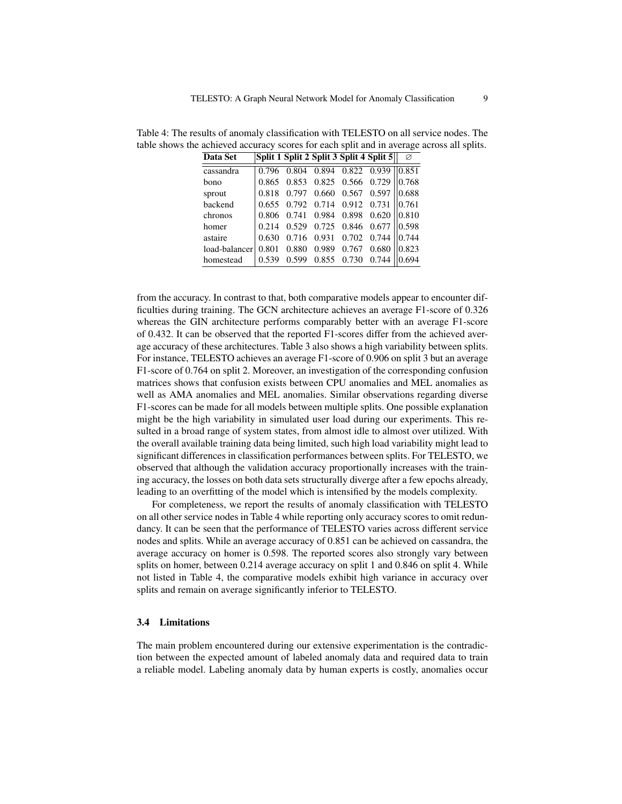| Data Set      |       |       |       |       | Split 1 Split 2 Split 3 Split 4 Split 5 | Ø     |
|---------------|-------|-------|-------|-------|-----------------------------------------|-------|
| cassandra     | 0.796 | 0.804 | 0.894 | 0.822 | 0.939                                   | 0.851 |
| bono          | 0.865 | 0.853 | 0.825 | 0.566 | 0.729                                   | 0.768 |
| sprout        | 0.818 | 0.797 | 0.660 | 0.567 | 0.597                                   | 0.688 |
| backend       | 0.655 | 0.792 | 0.714 | 0.912 | 0.731                                   | 0.761 |
| chronos       | 0.806 | 0.741 | 0.984 | 0.898 | 0.620                                   | 0.810 |
| homer         | 0.214 | 0.529 | 0.725 | 0.846 | 0.677                                   | 0.598 |
| astaire       | 0.630 | 0.716 | 0.931 | 0.702 | 0.744                                   | 0.744 |
| load-balancer | 0.801 | 0.880 | 0.989 | 0.767 | 0.680                                   | 0.823 |
| homestead     |       | 0.599 | 0.855 | 0.730 | 0.744                                   |       |

<span id="page-8-0"></span>Table 4: The results of anomaly classification with TELESTO on all service nodes. The table shows the achieved accuracy scores for each split and in average across all splits.

from the accuracy. In contrast to that, both comparative models appear to encounter difficulties during training. The GCN architecture achieves an average F1-score of 0.326 whereas the GIN architecture performs comparably better with an average F1-score of 0.432. It can be observed that the reported F1-scores differ from the achieved average accuracy of these architectures. [Table 3](#page-7-0) also shows a high variability between splits. For instance, TELESTO achieves an average F1-score of 0.906 on split 3 but an average F1-score of 0.764 on split 2. Moreover, an investigation of the corresponding confusion matrices shows that confusion exists between CPU anomalies and MEL anomalies as well as AMA anomalies and MEL anomalies. Similar observations regarding diverse F1-scores can be made for all models between multiple splits. One possible explanation might be the high variability in simulated user load during our experiments. This resulted in a broad range of system states, from almost idle to almost over utilized. With the overall available training data being limited, such high load variability might lead to significant differences in classification performances between splits. For TELESTO, we observed that although the validation accuracy proportionally increases with the training accuracy, the losses on both data sets structurally diverge after a few epochs already, leading to an overfitting of the model which is intensified by the models complexity.

For completeness, we report the results of anomaly classification with TELESTO on all other service nodes in [Table 4](#page-8-0) while reporting only accuracy scores to omit redundancy. It can be seen that the performance of TELESTO varies across different service nodes and splits. While an average accuracy of 0.851 can be achieved on cassandra, the average accuracy on homer is 0.598. The reported scores also strongly vary between splits on homer, between 0.214 average accuracy on split 1 and 0.846 on split 4. While not listed in [Table 4,](#page-8-0) the comparative models exhibit high variance in accuracy over splits and remain on average significantly inferior to TELESTO.

#### 3.4 Limitations

The main problem encountered during our extensive experimentation is the contradiction between the expected amount of labeled anomaly data and required data to train a reliable model. Labeling anomaly data by human experts is costly, anomalies occur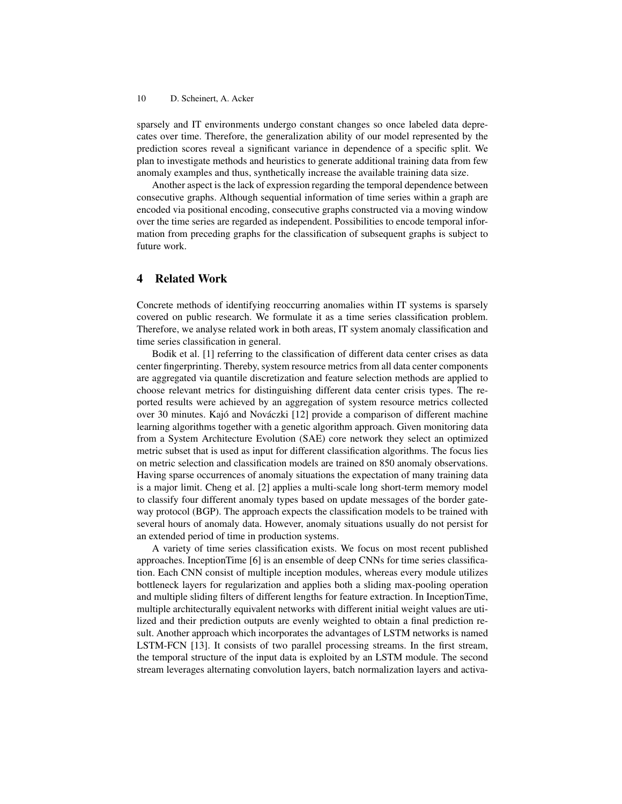#### 10 D. Scheinert, A. Acker

sparsely and IT environments undergo constant changes so once labeled data deprecates over time. Therefore, the generalization ability of our model represented by the prediction scores reveal a significant variance in dependence of a specific split. We plan to investigate methods and heuristics to generate additional training data from few anomaly examples and thus, synthetically increase the available training data size.

Another aspect is the lack of expression regarding the temporal dependence between consecutive graphs. Although sequential information of time series within a graph are encoded via positional encoding, consecutive graphs constructed via a moving window over the time series are regarded as independent. Possibilities to encode temporal information from preceding graphs for the classification of subsequent graphs is subject to future work.

# <span id="page-9-0"></span>4 Related Work

Concrete methods of identifying reoccurring anomalies within IT systems is sparsely covered on public research. We formulate it as a time series classification problem. Therefore, we analyse related work in both areas, IT system anomaly classification and time series classification in general.

Bodik et al. [\[1\]](#page-10-5) referring to the classification of different data center crises as data center fingerprinting. Thereby, system resource metrics from all data center components are aggregated via quantile discretization and feature selection methods are applied to choose relevant metrics for distinguishing different data center crisis types. The reported results were achieved by an aggregation of system resource metrics collected over 30 minutes. Kajó and Nováczki [\[12\]](#page-11-16) provide a comparison of different machine learning algorithms together with a genetic algorithm approach. Given monitoring data from a System Architecture Evolution (SAE) core network they select an optimized metric subset that is used as input for different classification algorithms. The focus lies on metric selection and classification models are trained on 850 anomaly observations. Having sparse occurrences of anomaly situations the expectation of many training data is a major limit. Cheng et al. [\[2\]](#page-10-6) applies a multi-scale long short-term memory model to classify four different anomaly types based on update messages of the border gateway protocol (BGP). The approach expects the classification models to be trained with several hours of anomaly data. However, anomaly situations usually do not persist for an extended period of time in production systems.

A variety of time series classification exists. We focus on most recent published approaches. InceptionTime [\[6\]](#page-10-7) is an ensemble of deep CNNs for time series classification. Each CNN consist of multiple inception modules, whereas every module utilizes bottleneck layers for regularization and applies both a sliding max-pooling operation and multiple sliding filters of different lengths for feature extraction. In InceptionTime, multiple architecturally equivalent networks with different initial weight values are utilized and their prediction outputs are evenly weighted to obtain a final prediction result. Another approach which incorporates the advantages of LSTM networks is named LSTM-FCN [\[13\]](#page-11-17). It consists of two parallel processing streams. In the first stream, the temporal structure of the input data is exploited by an LSTM module. The second stream leverages alternating convolution layers, batch normalization layers and activa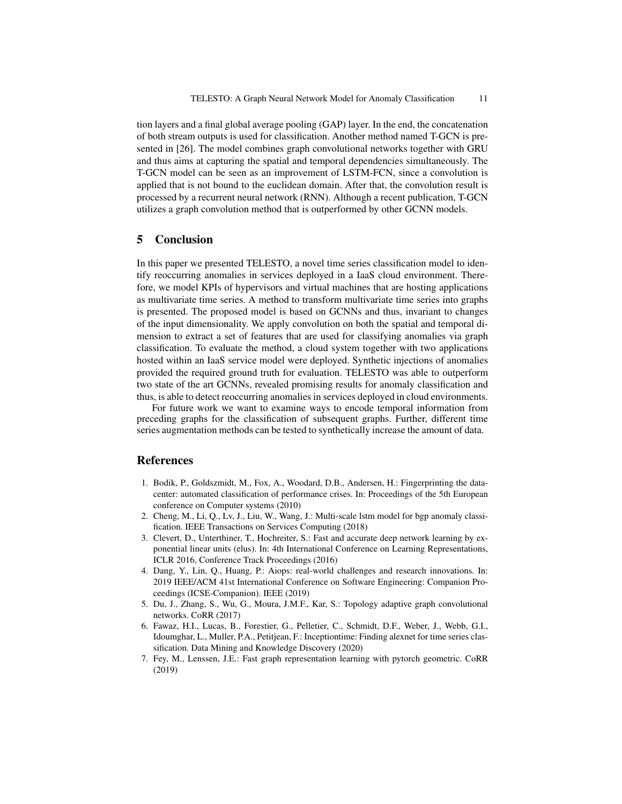tion layers and a final global average pooling (GAP) layer. In the end, the concatenation of both stream outputs is used for classification. Another method named T-GCN is presented in [\[26\]](#page-11-18). The model combines graph convolutional networks together with GRU and thus aims at capturing the spatial and temporal dependencies simultaneously. The T-GCN model can be seen as an improvement of LSTM-FCN, since a convolution is applied that is not bound to the euclidean domain. After that, the convolution result is processed by a recurrent neural network (RNN). Although a recent publication, T-GCN utilizes a graph convolution method that is outperformed by other GCNN models.

# <span id="page-10-1"></span>5 Conclusion

In this paper we presented TELESTO, a novel time series classification model to identify reoccurring anomalies in services deployed in a IaaS cloud environment. Therefore, we model KPIs of hypervisors and virtual machines that are hosting applications as multivariate time series. A method to transform multivariate time series into graphs is presented. The proposed model is based on GCNNs and thus, invariant to changes of the input dimensionality. We apply convolution on both the spatial and temporal dimension to extract a set of features that are used for classifying anomalies via graph classification. To evaluate the method, a cloud system together with two applications hosted within an IaaS service model were deployed. Synthetic injections of anomalies provided the required ground truth for evaluation. TELESTO was able to outperform two state of the art GCNNs, revealed promising results for anomaly classification and thus, is able to detect reoccurring anomalies in services deployed in cloud environments.

For future work we want to examine ways to encode temporal information from preceding graphs for the classification of subsequent graphs. Further, different time series augmentation methods can be tested to synthetically increase the amount of data.

### References

- <span id="page-10-5"></span>1. Bodik, P., Goldszmidt, M., Fox, A., Woodard, D.B., Andersen, H.: Fingerprinting the datacenter: automated classification of performance crises. In: Proceedings of the 5th European conference on Computer systems (2010)
- <span id="page-10-6"></span>2. Cheng, M., Li, Q., Lv, J., Liu, W., Wang, J.: Multi-scale lstm model for bgp anomaly classification. IEEE Transactions on Services Computing (2018)
- <span id="page-10-4"></span>3. Clevert, D., Unterthiner, T., Hochreiter, S.: Fast and accurate deep network learning by exponential linear units (elus). In: 4th International Conference on Learning Representations, ICLR 2016, Conference Track Proceedings (2016)
- <span id="page-10-0"></span>4. Dang, Y., Lin, Q., Huang, P.: Aiops: real-world challenges and research innovations. In: 2019 IEEE/ACM 41st International Conference on Software Engineering: Companion Proceedings (ICSE-Companion). IEEE (2019)
- <span id="page-10-2"></span>5. Du, J., Zhang, S., Wu, G., Moura, J.M.F., Kar, S.: Topology adaptive graph convolutional networks. CoRR (2017)
- <span id="page-10-7"></span>6. Fawaz, H.I., Lucas, B., Forestier, G., Pelletier, C., Schmidt, D.F., Weber, J., Webb, G.I., Idoumghar, L., Muller, P.A., Petitjean, F.: Inceptiontime: Finding alexnet for time series classification. Data Mining and Knowledge Discovery (2020)
- <span id="page-10-3"></span>7. Fey, M., Lenssen, J.E.: Fast graph representation learning with pytorch geometric. CoRR (2019)